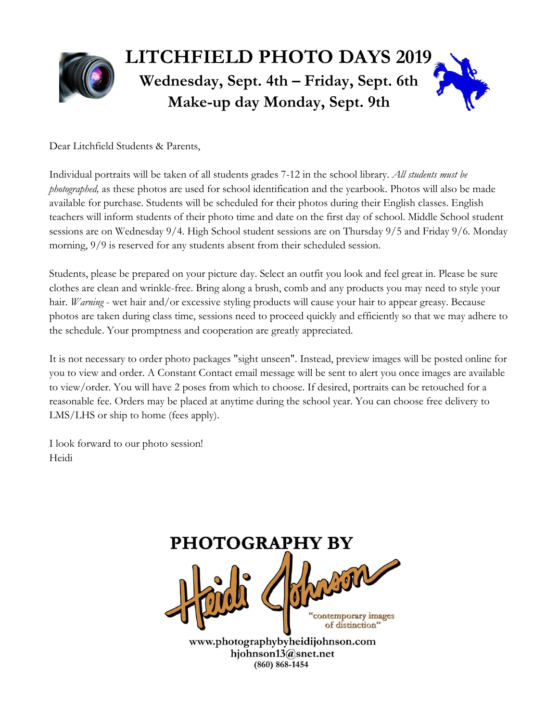

Dear Litchfield Students & Parents,

Individual portraits will be taken of all students grades 7-12 in the school library. *All students must be photographed,* as these photos are used for school identification and the yearbook. Photos will also be made available for purchase. Students will be scheduled for their photos during their English classes. English teachers will inform students of their photo time and date on the first day of school. Middle School student sessions are on Wednesday 9/4. High School student sessions are on Thursday 9/5 and Friday 9/6. Monday morning,  $9/9$  is reserved for any students absent from their scheduled session.

Students, please be prepared on your picture day. Select an outfit you look and feel great in. Please be sure clothes are clean and wrinkle-free. Bring along a brush, comb and any products you may need to style your hair. *Warning* - wet hair and/or excessive styling products will cause your hair to appear greasy. Because photos are taken during class time, sessions need to proceed quickly and efficiently so that we may adhere to the schedule. Your promptness and cooperation are greatly appreciated.

It is not necessary to order photo packages "sight unseen". Instead, preview images will be posted online for you to view and order. A Constant Contact email message will be sent to alert you once images are available to view/order. You will have 2 poses from which to choose. If desired, portraits can be retouched for a reasonable fee. Orders may be placed at anytime during the school year. You can choose free delivery to LMS/LHS or ship to home (fees apply).

I look forward to our photo session! Heidi